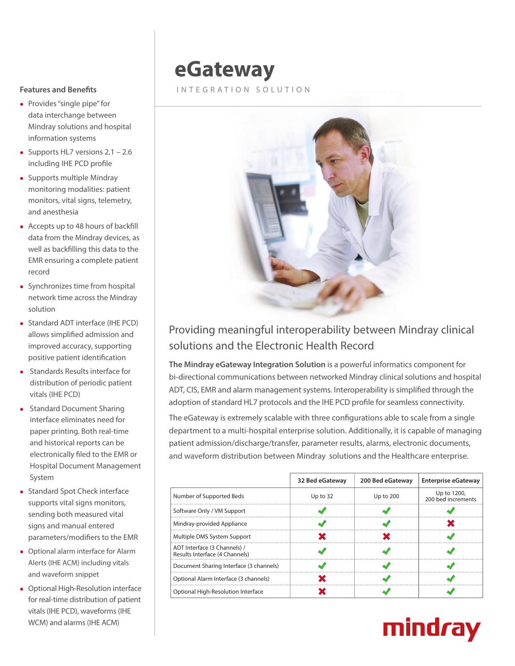#### **Features and Benefits**

- Provides "single pipe" for data interchange between Mindray solutions and hospital information systems
- Supports HL7 versions  $2.1 2.6$ including IHE PCD profile
- $\bullet$  Supports multiple Mindray monitoring modalities: patient monitors, vital signs, telemetry, and anesthesia
- $\bullet$  Accepts up to 48 hours of backfill data from the Mindray devices, as well as backfilling this data to the EMR ensuring a complete patient record
- Synchronizes time from hospital network time across the Mindray solution
- Standard ADT interface (IHE PCD) allows simplified admission and improved accuracy, supporting positive patient identification
- **.** Standards Results interface for distribution of periodic patient vitals (IHE PCD)
- Standard Document Sharing interface eliminates need for paper printing. Both real-time and historical reports can be electronically filed to the EMR or Hospital Document Management System
- Standard Spot Check interface supports vital signs monitors, sending both measured vital signs and manual entered parameters/modifiers to the EMR
- Optional alarm interface for Alarm Alerts (IHE ACM) including vitals and waveform snippet
- Optional High-Resolution interface for real-time distribution of patient vitals (IHE PCD), waveforms (IHE WCM) and alarms (IHE ACM)

# **eGateway**

### INTEGRATION SOLUTION



## Providing meaningful interoperability between Mindray clinical solutions and the Electronic Health Record

**The Mindray eGateway Integration Solution** is a powerful informatics component for bi-directional communications between networked Mindray clinical solutions and hospital ADT, CIS, EMR and alarm management systems. Interoperability is simplified through the adoption of standard HL7 protocols and the IHE PCD profile for seamless connectivity.

The eGateway is extremely scalable with three configurations able to scale from a single department to a multi-hospital enterprise solution. Additionally, it is capable of managing patient admission/discharge/transfer, parameter results, alarms, electronic documents, and waveform distribution between Mindray solutions and the Healthcare enterprise.

|                                                                | 32 Bed eGateway | 200 Bed eGateway | <b>Enterprise eGateway</b>        |
|----------------------------------------------------------------|-----------------|------------------|-----------------------------------|
| Number of Supported Beds                                       | Up to 32        | Up to 200        | Up to 1200,<br>200 bed increments |
| Software Only / VM Support                                     |                 |                  |                                   |
| Mindray-provided Appliance                                     |                 |                  |                                   |
| Multiple DMS System Support                                    |                 |                  |                                   |
| ADT Interface (3 Channels) /<br>Results Interface (4 Channels) |                 |                  |                                   |
| Document Sharing Interface (3 channels)                        |                 |                  |                                   |
| Optional Alarm Interface (3 channels)                          |                 |                  |                                   |
| Optional High-Resolution Interface                             |                 |                  |                                   |